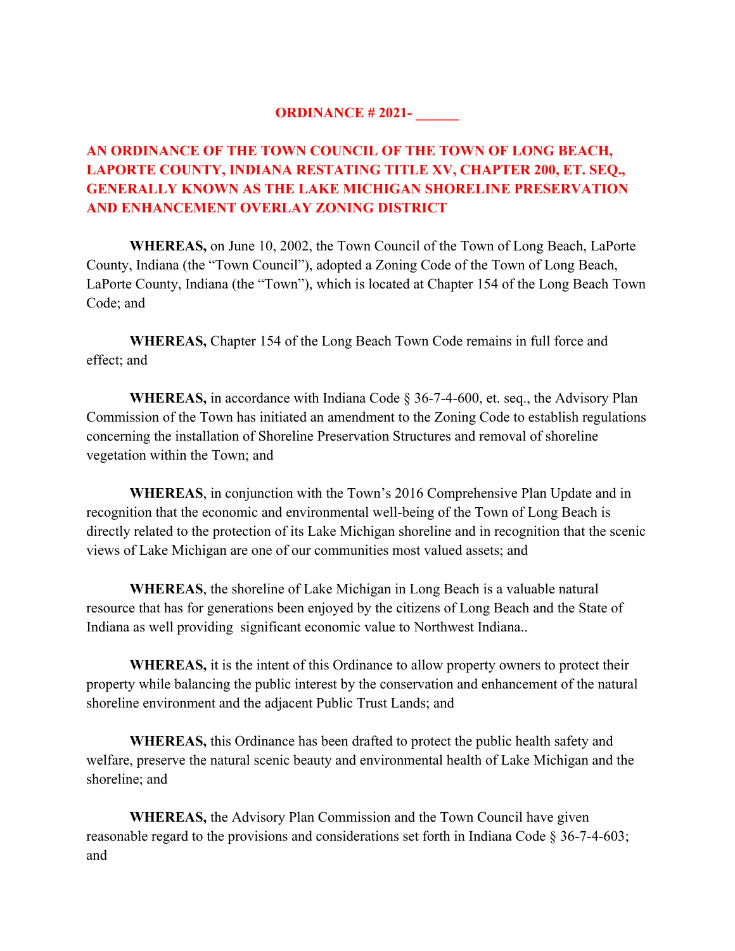## **ORDINANCE # 2021- \_\_\_\_\_\_**

# **AN ORDINANCE OF THE TOWN COUNCIL OF THE TOWN OF LONG BEACH, LAPORTE COUNTY, INDIANA RESTATING TITLE XV, CHAPTER 200, ET. SEQ., GENERALLY KNOWN AS THE LAKE MICHIGAN SHORELINE PRESERVATION AND ENHANCEMENT OVERLAY ZONING DISTRICT**

**WHEREAS,** on June 10, 2002, the Town Council of the Town of Long Beach, LaPorte County, Indiana (the "Town Council"), adopted a Zoning Code of the Town of Long Beach, LaPorte County, Indiana (the "Town"), which is located at Chapter 154 of the Long Beach Town Code; and

**WHEREAS,** Chapter 154 of the Long Beach Town Code remains in full force and effect; and

**WHEREAS,** in accordance with Indiana Code § 36-7-4-600, et. seq., the Advisory Plan Commission of the Town has initiated an amendment to the Zoning Code to establish regulations concerning the installation of Shoreline Preservation Structures and removal of shoreline vegetation within the Town; and

**WHEREAS**, in conjunction with the Town's 2016 Comprehensive Plan Update and in recognition that the economic and environmental well-being of the Town of Long Beach is directly related to the protection of its Lake Michigan shoreline and in recognition that the scenic views of Lake Michigan are one of our communities most valued assets; and

**WHEREAS**, the shoreline of Lake Michigan in Long Beach is a valuable natural resource that has for generations been enjoyed by the citizens of Long Beach and the State of Indiana as well providing significant economic value to Northwest Indiana..

**WHEREAS,** it is the intent of this Ordinance to allow property owners to protect their property while balancing the public interest by the conservation and enhancement of the natural shoreline environment and the adjacent Public Trust Lands; and

**WHEREAS,** this Ordinance has been drafted to protect the public health safety and welfare, preserve the natural scenic beauty and environmental health of Lake Michigan and the shoreline; and

**WHEREAS,** the Advisory Plan Commission and the Town Council have given reasonable regard to the provisions and considerations set forth in Indiana Code § 36-7-4-603; and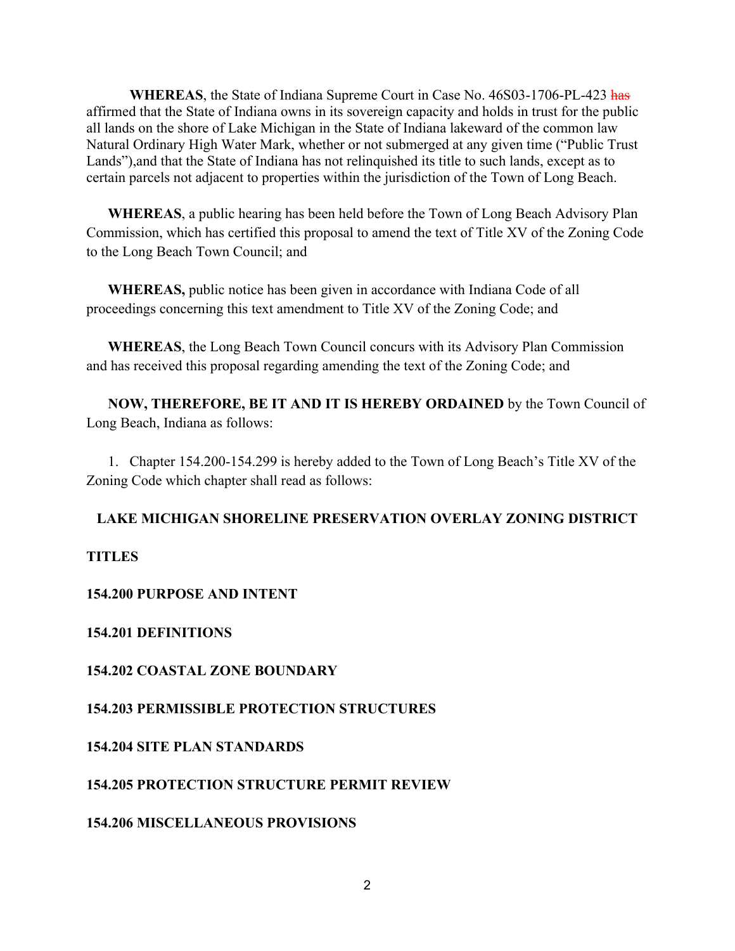**WHEREAS**, the State of Indiana Supreme Court in Case No. 46S03-1706-PL-423 has affirmed that the State of Indiana owns in its sovereign capacity and holds in trust for the public all lands on the shore of Lake Michigan in the State of Indiana lakeward of the common law Natural Ordinary High Water Mark, whether or not submerged at any given time ("Public Trust Lands"),and that the State of Indiana has not relinquished its title to such lands, except as to certain parcels not adjacent to properties within the jurisdiction of the Town of Long Beach.

**WHEREAS**, a public hearing has been held before the Town of Long Beach Advisory Plan Commission, which has certified this proposal to amend the text of Title XV of the Zoning Code to the Long Beach Town Council; and

**WHEREAS,** public notice has been given in accordance with Indiana Code of all proceedings concerning this text amendment to Title XV of the Zoning Code; and

**WHEREAS**, the Long Beach Town Council concurs with its Advisory Plan Commission and has received this proposal regarding amending the text of the Zoning Code; and

**NOW, THEREFORE, BE IT AND IT IS HEREBY ORDAINED** by the Town Council of Long Beach, Indiana as follows:

1. Chapter 154.200-154.299 is hereby added to the Town of Long Beach's Title XV of the Zoning Code which chapter shall read as follows:

## **LAKE MICHIGAN SHORELINE PRESERVATION OVERLAY ZONING DISTRICT**

**TITLES**

## **154.200 PURPOSE AND INTENT**

## **154.201 DEFINITIONS**

## **154.202 COASTAL ZONE BOUNDARY**

## **154.203 PERMISSIBLE PROTECTION STRUCTURES**

## **154.204 SITE PLAN STANDARDS**

## **154.205 PROTECTION STRUCTURE PERMIT REVIEW**

#### **154.206 MISCELLANEOUS PROVISIONS**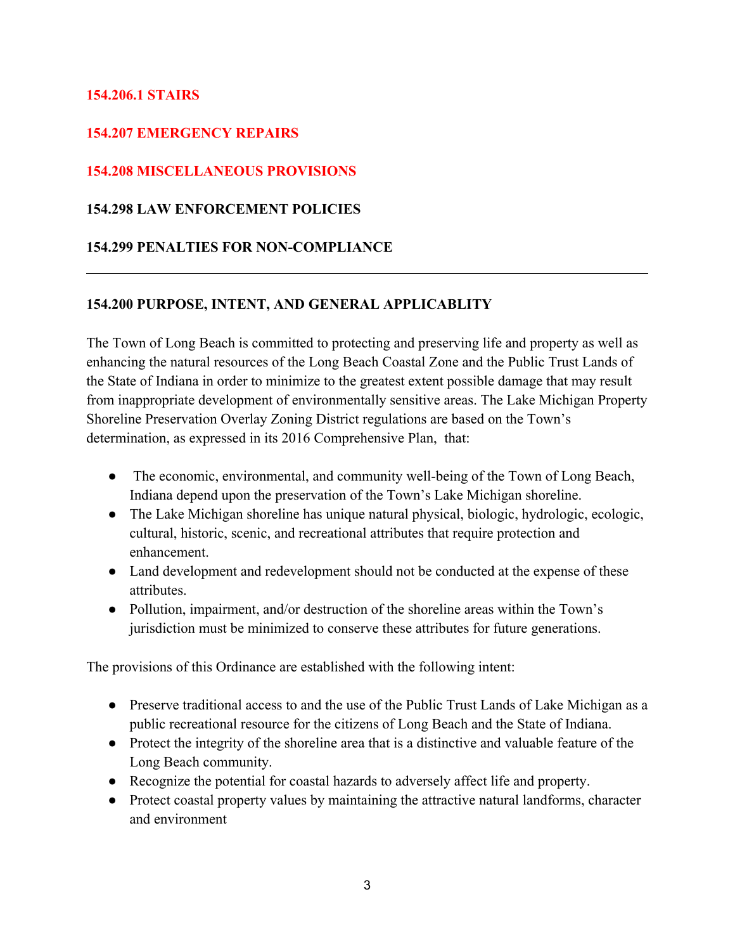## **154.206.1 STAIRS**

## **154.207 EMERGENCY REPAIRS**

## **154.208 MISCELLANEOUS PROVISIONS**

### **154.298 LAW ENFORCEMENT POLICIES**

### **154.299 PENALTIES FOR NON-COMPLIANCE**

### **154.200 PURPOSE, INTENT, AND GENERAL APPLICABLITY**

The Town of Long Beach is committed to protecting and preserving life and property as well as enhancing the natural resources of the Long Beach Coastal Zone and the Public Trust Lands of the State of Indiana in order to minimize to the greatest extent possible damage that may result from inappropriate development of environmentally sensitive areas. The Lake Michigan Property Shoreline Preservation Overlay Zoning District regulations are based on the Town's determination, as expressed in its 2016 Comprehensive Plan, that:

- The economic, environmental, and community well-being of the Town of Long Beach, Indiana depend upon the preservation of the Town's Lake Michigan shoreline.
- The Lake Michigan shoreline has unique natural physical, biologic, hydrologic, ecologic, cultural, historic, scenic, and recreational attributes that require protection and enhancement.
- Land development and redevelopment should not be conducted at the expense of these attributes.
- Pollution, impairment, and/or destruction of the shoreline areas within the Town's jurisdiction must be minimized to conserve these attributes for future generations.

The provisions of this Ordinance are established with the following intent:

- Preserve traditional access to and the use of the Public Trust Lands of Lake Michigan as a public recreational resource for the citizens of Long Beach and the State of Indiana.
- Protect the integrity of the shoreline area that is a distinctive and valuable feature of the Long Beach community.
- Recognize the potential for coastal hazards to adversely affect life and property.
- Protect coastal property values by maintaining the attractive natural landforms, character and environment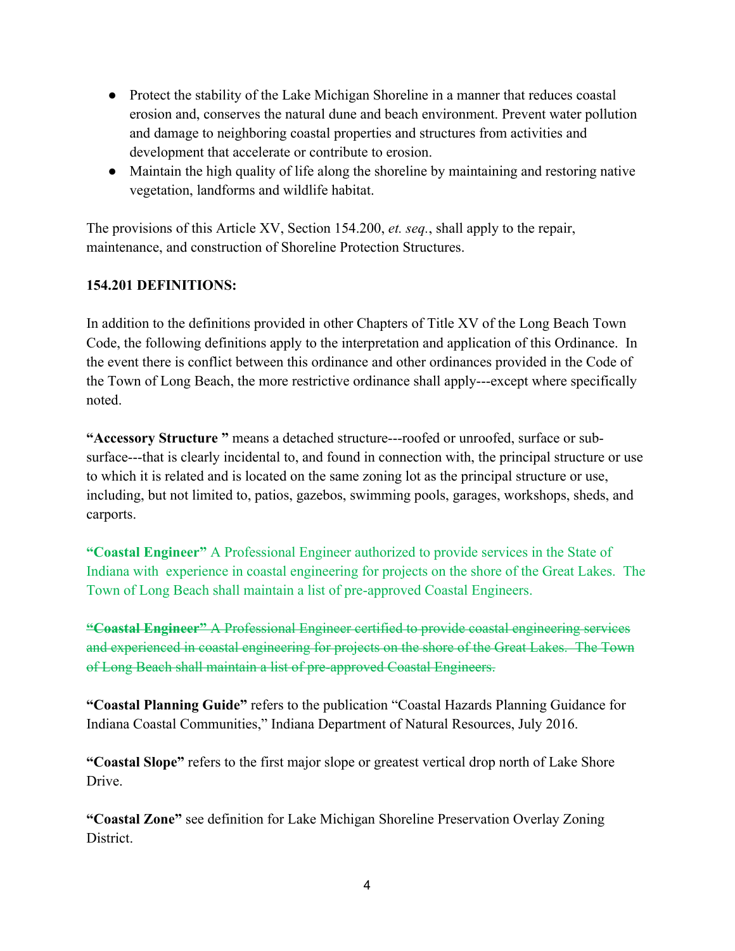- Protect the stability of the Lake Michigan Shoreline in a manner that reduces coastal erosion and, conserves the natural dune and beach environment. Prevent water pollution and damage to neighboring coastal properties and structures from activities and development that accelerate or contribute to erosion.
- Maintain the high quality of life along the shoreline by maintaining and restoring native vegetation, landforms and wildlife habitat.

The provisions of this Article XV, Section 154.200, *et. seq.*, shall apply to the repair, maintenance, and construction of Shoreline Protection Structures.

# **154.201 DEFINITIONS:**

In addition to the definitions provided in other Chapters of Title XV of the Long Beach Town Code, the following definitions apply to the interpretation and application of this Ordinance. In the event there is conflict between this ordinance and other ordinances provided in the Code of the Town of Long Beach, the more restrictive ordinance shall apply---except where specifically noted.

**"Accessory Structure "** means a detached structure---roofed or unroofed, surface or subsurface---that is clearly incidental to, and found in connection with, the principal structure or use to which it is related and is located on the same zoning lot as the principal structure or use, including, but not limited to, patios, gazebos, swimming pools, garages, workshops, sheds, and carports.

**"Coastal Engineer"** A Professional Engineer authorized to provide services in the State of Indiana with experience in coastal engineering for projects on the shore of the Great Lakes. The Town of Long Beach shall maintain a list of pre-approved Coastal Engineers.

**"Coastal Engineer"** A Professional Engineer certified to provide coastal engineering services and experienced in coastal engineering for projects on the shore of the Great Lakes. The Town of Long Beach shall maintain a list of pre-approved Coastal Engineers.

**"Coastal Planning Guide"** refers to the publication "Coastal Hazards Planning Guidance for Indiana Coastal Communities," Indiana Department of Natural Resources, July 2016.

**"Coastal Slope"** refers to the first major slope or greatest vertical drop north of Lake Shore **Drive** 

**"Coastal Zone"** see definition for Lake Michigan Shoreline Preservation Overlay Zoning District.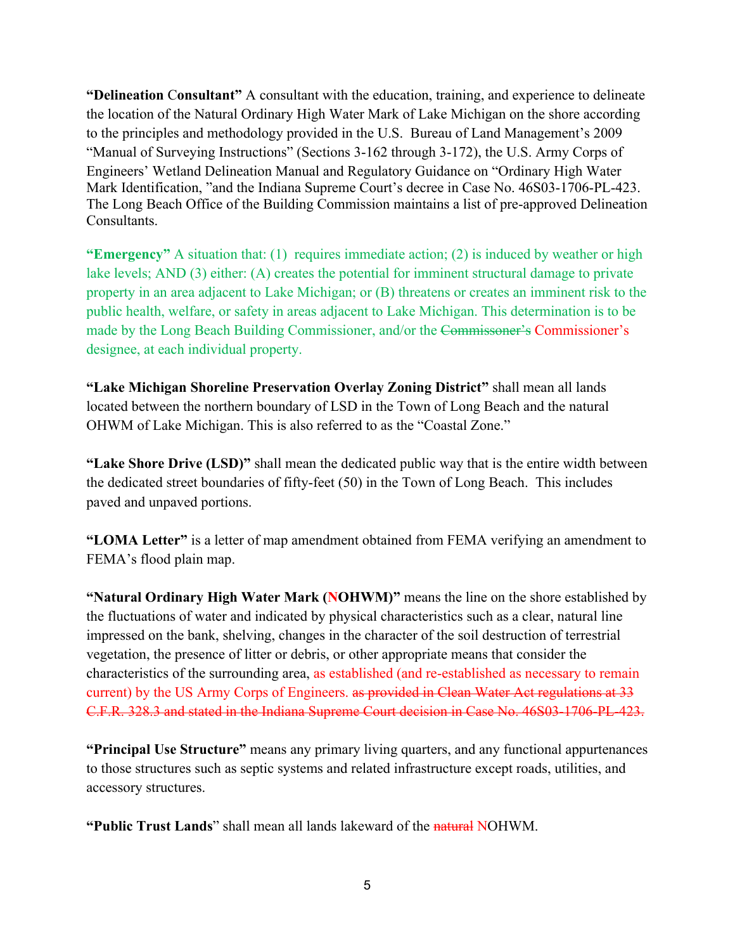**"Delineation** C**onsultant"** A consultant with the education, training, and experience to delineate the location of the Natural Ordinary High Water Mark of Lake Michigan on the shore according to the principles and methodology provided in the U.S. Bureau of Land Management's 2009 "Manual of Surveying Instructions" (Sections 3-162 through 3-172), the U.S. Army Corps of Engineers' Wetland Delineation Manual and Regulatory Guidance on "Ordinary High Water Mark Identification, "and the Indiana Supreme Court's decree in Case No. 46S03-1706-PL-423. The Long Beach Office of the Building Commission maintains a list of pre-approved Delineation Consultants.

**"Emergency"** A situation that: (1) requires immediate action; (2) is induced by weather or high lake levels; AND (3) either: (A) creates the potential for imminent structural damage to private property in an area adjacent to Lake Michigan; or (B) threatens or creates an imminent risk to the public health, welfare, or safety in areas adjacent to Lake Michigan. This determination is to be made by the Long Beach Building Commissioner, and/or the Commissoner's Commissioner's designee, at each individual property.

**"Lake Michigan Shoreline Preservation Overlay Zoning District"** shall mean all lands located between the northern boundary of LSD in the Town of Long Beach and the natural OHWM of Lake Michigan. This is also referred to as the "Coastal Zone."

**"Lake Shore Drive (LSD)"** shall mean the dedicated public way that is the entire width between the dedicated street boundaries of fifty-feet (50) in the Town of Long Beach. This includes paved and unpaved portions.

**"LOMA Letter"** is a letter of map amendment obtained from FEMA verifying an amendment to FEMA's flood plain map.

**"Natural Ordinary High Water Mark (NOHWM)"** means the line on the shore established by the fluctuations of water and indicated by physical characteristics such as a clear, natural line impressed on the bank, shelving, changes in the character of the soil destruction of terrestrial vegetation, the presence of litter or debris, or other appropriate means that consider the characteristics of the surrounding area, as established (and re-established as necessary to remain current) by the US Army Corps of Engineers. as provided in Clean Water Act regulations at 33 C.F.R. 328.3 and stated in the Indiana Supreme Court decision in Case No. 46S03-1706-PL-423.

**"Principal Use Structure"** means any primary living quarters, and any functional appurtenances to those structures such as septic systems and related infrastructure except roads, utilities, and accessory structures.

**"Public Trust Lands**" shall mean all lands lakeward of the natural NOHWM.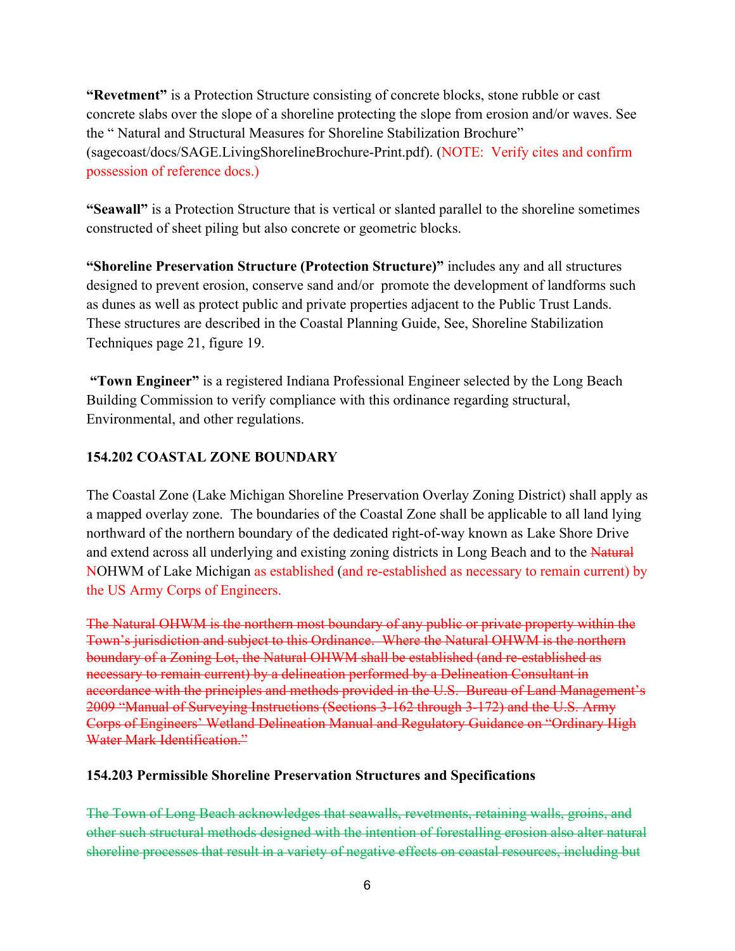**"Revetment"** is a Protection Structure consisting of concrete blocks, stone rubble or cast concrete slabs over the slope of a shoreline protecting the slope from erosion and/or waves. See the " Natural and Structural Measures for Shoreline Stabilization Brochure" (sagecoast/docs/SAGE.LivingShorelineBrochure-Print.pdf). (NOTE: Verify cites and confirm possession of reference docs.)

**"Seawall"** is a Protection Structure that is vertical or slanted parallel to the shoreline sometimes constructed of sheet piling but also concrete or geometric blocks.

**"Shoreline Preservation Structure (Protection Structure)"** includes any and all structures designed to prevent erosion, conserve sand and/or promote the development of landforms such as dunes as well as protect public and private properties adjacent to the Public Trust Lands. These structures are described in the Coastal Planning Guide, See, Shoreline Stabilization Techniques page 21, figure 19.

**"Town Engineer"** is a registered Indiana Professional Engineer selected by the Long Beach Building Commission to verify compliance with this ordinance regarding structural, Environmental, and other regulations.

## **154.202 COASTAL ZONE BOUNDARY**

The Coastal Zone (Lake Michigan Shoreline Preservation Overlay Zoning District) shall apply as a mapped overlay zone. The boundaries of the Coastal Zone shall be applicable to all land lying northward of the northern boundary of the dedicated right-of-way known as Lake Shore Drive and extend across all underlying and existing zoning districts in Long Beach and to the Natural NOHWM of Lake Michigan as established (and re-established as necessary to remain current) by the US Army Corps of Engineers.

The Natural OHWM is the northern most boundary of any public or private property within the Town's jurisdiction and subject to this Ordinance. Where the Natural OHWM is the northern boundary of a Zoning Lot, the Natural OHWM shall be established (and re-established as necessary to remain current) by a delineation performed by a Delineation Consultant in accordance with the principles and methods provided in the U.S. Bureau of Land Management's 2009 "Manual of Surveying Instructions (Sections 3-162 through 3-172) and the U.S. Army Corps of Engineers' Wetland Delineation Manual and Regulatory Guidance on "Ordinary High Water Mark Identification."

## **154.203 Permissible Shoreline Preservation Structures and Specifications**

The Town of Long Beach acknowledges that seawalls, revetments, retaining walls, groins, and other such structural methods designed with the intention of forestalling erosion also alter natural shoreline processes that result in a variety of negative effects on coastal resources, including but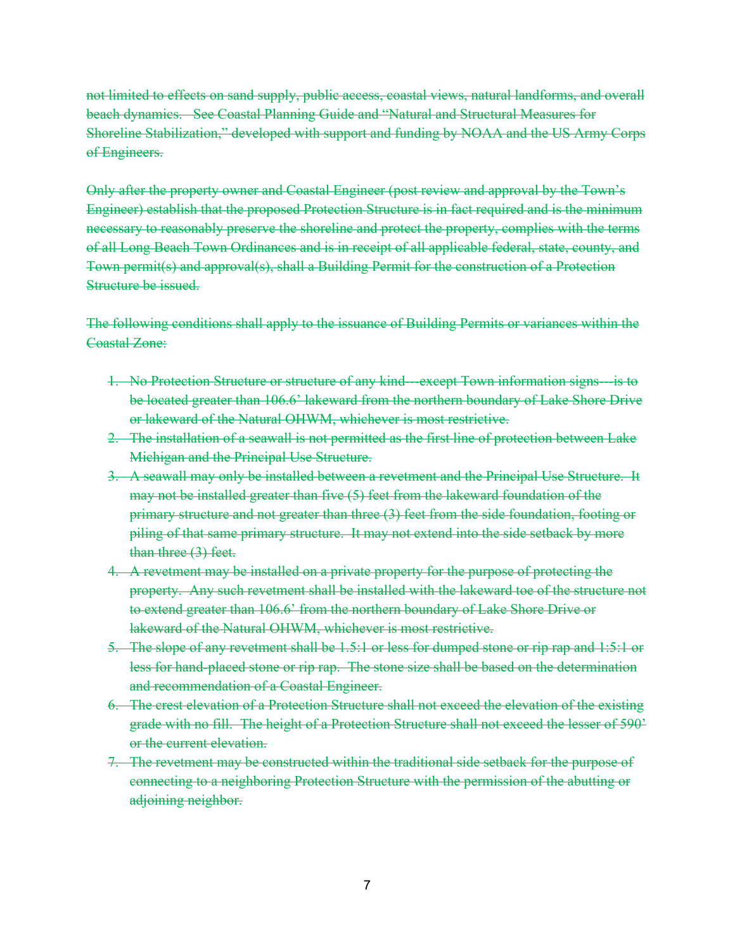not limited to effects on sand supply, public access, coastal views, natural landforms, and overall beach dynamics. See Coastal Planning Guide and "Natural and Structural Measures for Shoreline Stabilization," developed with support and funding by NOAA and the US Army Corps of Engineers.

Only after the property owner and Coastal Engineer (post review and approval by the Town's Engineer) establish that the proposed Protection Structure is in fact required and is the minimum necessary to reasonably preserve the shoreline and protect the property, complies with the terms of all Long Beach Town Ordinances and is in receipt of all applicable federal, state, county, and Town permit(s) and approval(s), shall a Building Permit for the construction of a Protection Structure be issued.

The following conditions shall apply to the issuance of Building Permits or variances within the Coastal Zone:

- 1. No Protection Structure or structure of any kind—except Town information signs—is to be located greater than 106.6' lakeward from the northern boundary of Lake Shore Drive or lakeward of the Natural OHWM, whichever is most restrictive.
- 2. The installation of a seawall is not permitted as the first line of protection between Lake Michigan and the Principal Use Structure.
- 3. A seawall may only be installed between a revetment and the Principal Use Structure. It may not be installed greater than five (5) feet from the lakeward foundation of the primary structure and not greater than three (3) feet from the side foundation, footing or piling of that same primary structure. It may not extend into the side setback by more than three (3) feet.
- 4. A revetment may be installed on a private property for the purpose of protecting the property. Any such revetment shall be installed with the lakeward toe of the structure not to extend greater than 106.6' from the northern boundary of Lake Shore Drive or lakeward of the Natural OHWM, whichever is most restrictive.
- 5. The slope of any revetment shall be 1.5:1 or less for dumped stone or rip rap and 1:5:1 or less for hand-placed stone or rip rap. The stone size shall be based on the determination and recommendation of a Coastal Engineer.
- 6. The crest elevation of a Protection Structure shall not exceed the elevation of the existing grade with no fill. The height of a Protection Structure shall not exceed the lesser of 590' or the current elevation.
- 7. The revetment may be constructed within the traditional side setback for the purpose of connecting to a neighboring Protection Structure with the permission of the abutting or adjoining neighbor.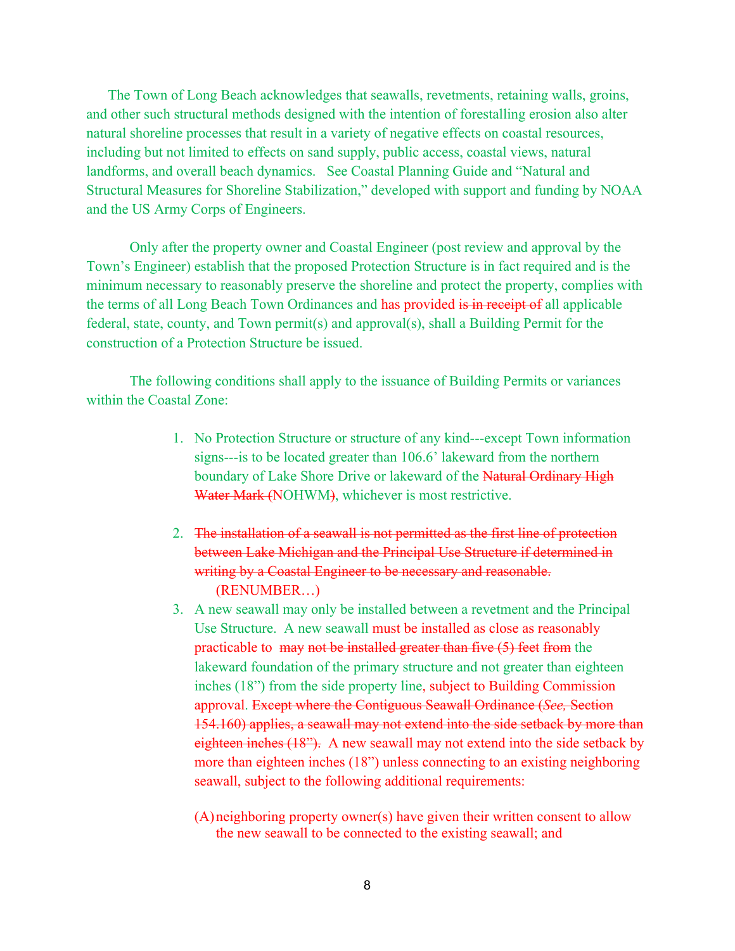The Town of Long Beach acknowledges that seawalls, revetments, retaining walls, groins, and other such structural methods designed with the intention of forestalling erosion also alter natural shoreline processes that result in a variety of negative effects on coastal resources, including but not limited to effects on sand supply, public access, coastal views, natural landforms, and overall beach dynamics. See Coastal Planning Guide and "Natural and Structural Measures for Shoreline Stabilization," developed with support and funding by NOAA and the US Army Corps of Engineers.

Only after the property owner and Coastal Engineer (post review and approval by the Town's Engineer) establish that the proposed Protection Structure is in fact required and is the minimum necessary to reasonably preserve the shoreline and protect the property, complies with the terms of all Long Beach Town Ordinances and has provided is in receipt of all applicable federal, state, county, and Town permit(s) and approval(s), shall a Building Permit for the construction of a Protection Structure be issued.

The following conditions shall apply to the issuance of Building Permits or variances within the Coastal Zone:

- 1. No Protection Structure or structure of any kind---except Town information signs---is to be located greater than 106.6' lakeward from the northern boundary of Lake Shore Drive or lakeward of the Natural Ordinary High Water Mark (NOHWM), whichever is most restrictive.
- 2. The installation of a seawall is not permitted as the first line of protection between Lake Michigan and the Principal Use Structure if determined in writing by a Coastal Engineer to be necessary and reasonable. (RENUMBER…)
- 3. A new seawall may only be installed between a revetment and the Principal Use Structure. A new seawall must be installed as close as reasonably practicable to may not be installed greater than five (5) feet from the lakeward foundation of the primary structure and not greater than eighteen inches (18") from the side property line, subject to Building Commission approval. Except where the Contiguous Seawall Ordinance (*See,* Section 154.160) applies, a seawall may not extend into the side setback by more than eighteen inches (18"). A new seawall may not extend into the side setback by more than eighteen inches (18") unless connecting to an existing neighboring seawall, subject to the following additional requirements:
	- (A)neighboring property owner(s) have given their written consent to allow the new seawall to be connected to the existing seawall; and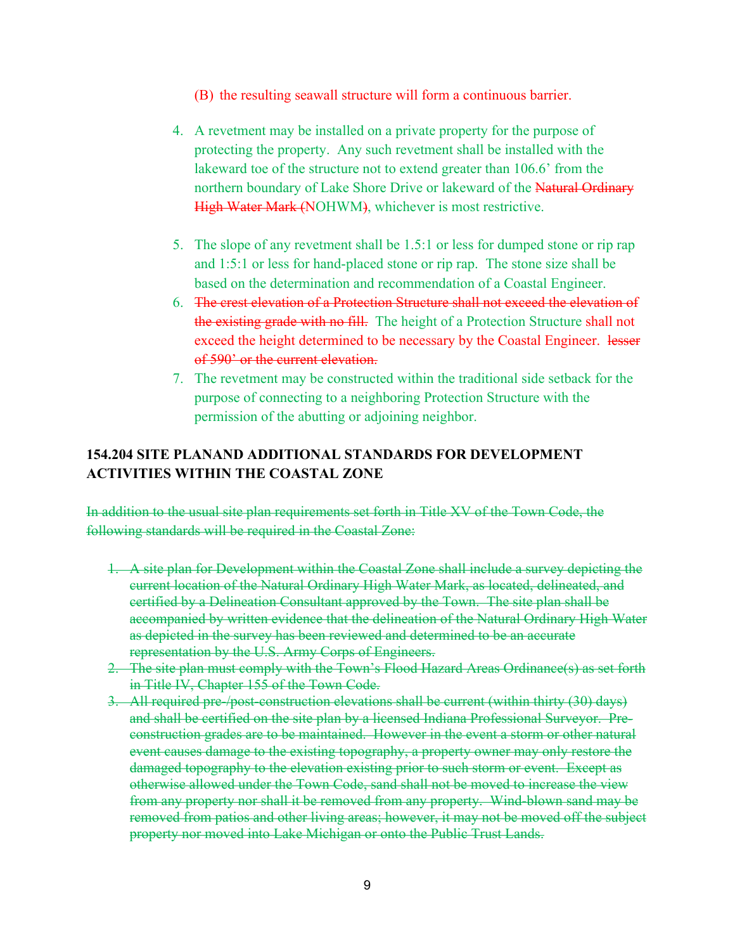- (B) the resulting seawall structure will form a continuous barrier.
- 4. A revetment may be installed on a private property for the purpose of protecting the property. Any such revetment shall be installed with the lakeward toe of the structure not to extend greater than 106.6' from the northern boundary of Lake Shore Drive or lakeward of the Natural Ordinary High Water Mark (NOHWM), whichever is most restrictive.
- 5. The slope of any revetment shall be 1.5:1 or less for dumped stone or rip rap and 1:5:1 or less for hand-placed stone or rip rap. The stone size shall be based on the determination and recommendation of a Coastal Engineer.
- 6. The crest elevation of a Protection Structure shall not exceed the elevation of the existing grade with no fill. The height of a Protection Structure shall not exceed the height determined to be necessary by the Coastal Engineer. lesser of 590' or the current elevation.
- 7. The revetment may be constructed within the traditional side setback for the purpose of connecting to a neighboring Protection Structure with the permission of the abutting or adjoining neighbor.

# **154.204 SITE PLANAND ADDITIONAL STANDARDS FOR DEVELOPMENT ACTIVITIES WITHIN THE COASTAL ZONE**

In addition to the usual site plan requirements set forth in Title XV of the Town Code, the following standards will be required in the Coastal Zone:

- 1. A site plan for Development within the Coastal Zone shall include a survey depicting the current location of the Natural Ordinary High Water Mark, as located, delineated, and certified by a Delineation Consultant approved by the Town. The site plan shall be accompanied by written evidence that the delineation of the Natural Ordinary High Water as depicted in the survey has been reviewed and determined to be an accurate representation by the U.S. Army Corps of Engineers.
- 2. The site plan must comply with the Town's Flood Hazard Areas Ordinance(s) as set forth in Title IV, Chapter 155 of the Town Code.
- 3. All required pre-/post-construction elevations shall be current (within thirty (30) days) and shall be certified on the site plan by a licensed Indiana Professional Surveyor. Preconstruction grades are to be maintained. However in the event a storm or other natural event causes damage to the existing topography, a property owner may only restore the damaged topography to the elevation existing prior to such storm or event. Except as otherwise allowed under the Town Code, sand shall not be moved to increase the view from any property nor shall it be removed from any property. Wind-blown sand may be removed from patios and other living areas; however, it may not be moved off the subject property nor moved into Lake Michigan or onto the Public Trust Lands.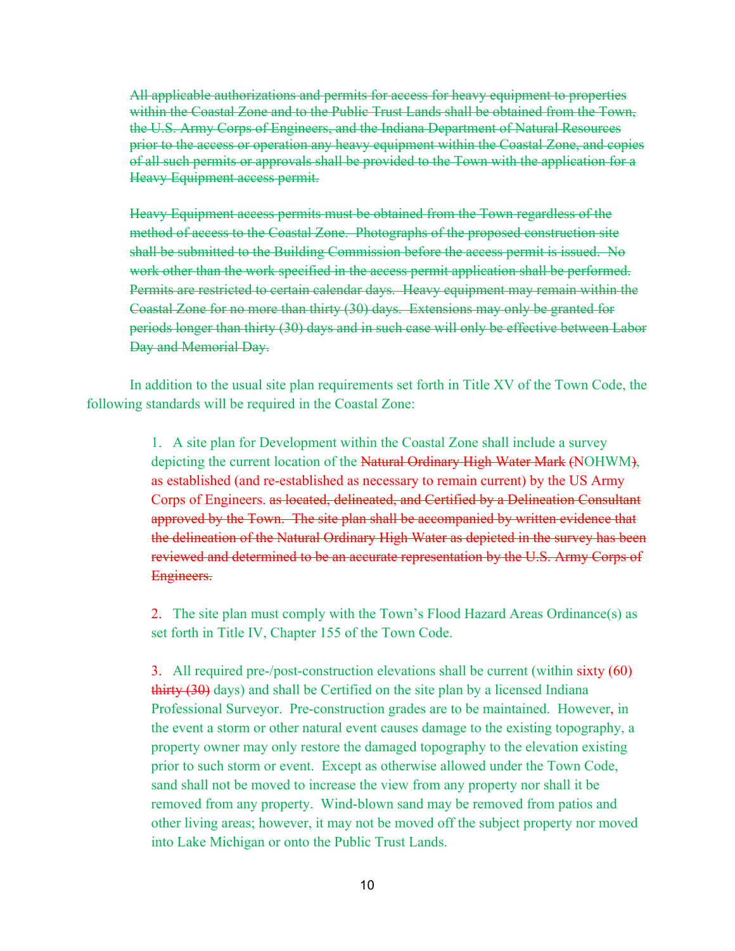All applicable authorizations and permits for access for heavy equipment to properties within the Coastal Zone and to the Public Trust Lands shall be obtained from the Town, the U.S. Army Corps of Engineers, and the Indiana Department of Natural Resources prior to the access or operation any heavy equipment within the Coastal Zone, and copies of all such permits or approvals shall be provided to the Town with the application for a Heavy Equipment access permit.

Heavy Equipment access permits must be obtained from the Town regardless of the method of access to the Coastal Zone. Photographs of the proposed construction site shall be submitted to the Building Commission before the access permit is issued. No work other than the work specified in the access permit application shall be performed. Permits are restricted to certain calendar days. Heavy equipment may remain within the Coastal Zone for no more than thirty (30) days. Extensions may only be granted for periods longer than thirty (30) days and in such case will only be effective between Labor Day and Memorial Day.

In addition to the usual site plan requirements set forth in Title XV of the Town Code, the following standards will be required in the Coastal Zone:

> 1. A site plan for Development within the Coastal Zone shall include a survey depicting the current location of the Natural Ordinary High Water Mark (NOHWM), as established (and re-established as necessary to remain current) by the US Army Corps of Engineers. as located, delineated, and Certified by a Delineation Consultant approved by the Town. The site plan shall be accompanied by written evidence that the delineation of the Natural Ordinary High Water as depicted in the survey has been reviewed and determined to be an accurate representation by the U.S. Army Corps of Engineers.

2. The site plan must comply with the Town's Flood Hazard Areas Ordinance(s) as set forth in Title IV, Chapter 155 of the Town Code.

3. All required pre-/post-construction elevations shall be current (within sixty (60) thirty (30) days) and shall be Certified on the site plan by a licensed Indiana Professional Surveyor. Pre-construction grades are to be maintained. However, in the event a storm or other natural event causes damage to the existing topography, a property owner may only restore the damaged topography to the elevation existing prior to such storm or event. Except as otherwise allowed under the Town Code, sand shall not be moved to increase the view from any property nor shall it be removed from any property. Wind-blown sand may be removed from patios and other living areas; however, it may not be moved off the subject property nor moved into Lake Michigan or onto the Public Trust Lands.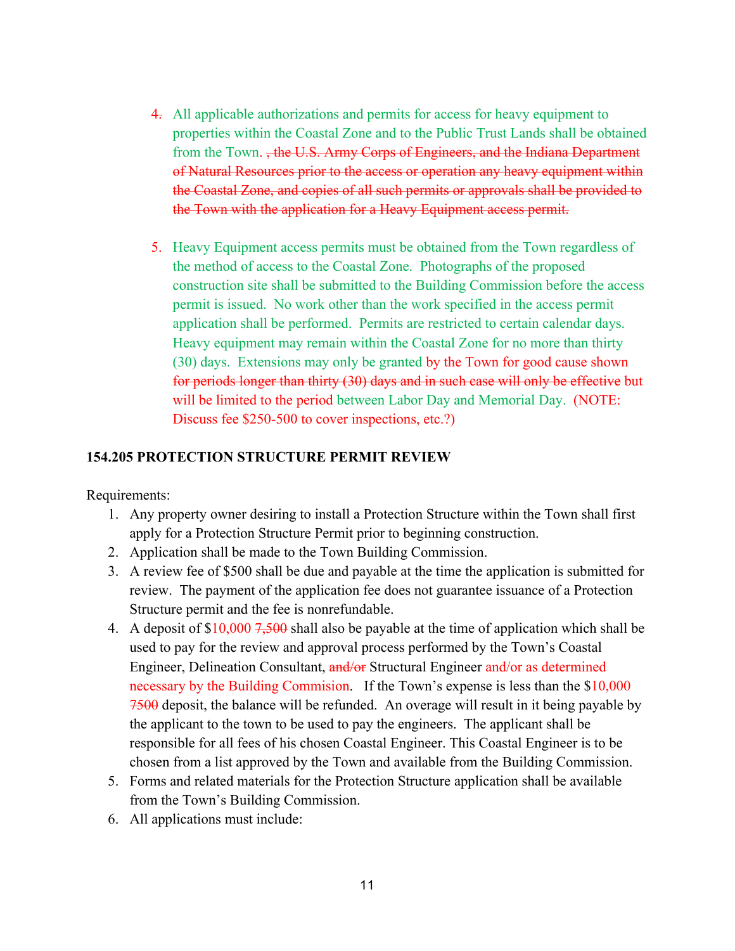- 4. All applicable authorizations and permits for access for heavy equipment to properties within the Coastal Zone and to the Public Trust Lands shall be obtained from the Town. , the U.S. Army Corps of Engineers, and the Indiana Department of Natural Resources prior to the access or operation any heavy equipment within the Coastal Zone, and copies of all such permits or approvals shall be provided to the Town with the application for a Heavy Equipment access permit.
- 5. Heavy Equipment access permits must be obtained from the Town regardless of the method of access to the Coastal Zone. Photographs of the proposed construction site shall be submitted to the Building Commission before the access permit is issued. No work other than the work specified in the access permit application shall be performed. Permits are restricted to certain calendar days. Heavy equipment may remain within the Coastal Zone for no more than thirty (30) days. Extensions may only be granted by the Town for good cause shown for periods longer than thirty (30) days and in such case will only be effective but will be limited to the period between Labor Day and Memorial Day. (NOTE: Discuss fee \$250-500 to cover inspections, etc.?)

#### **154.205 PROTECTION STRUCTURE PERMIT REVIEW**

Requirements:

- 1. Any property owner desiring to install a Protection Structure within the Town shall first apply for a Protection Structure Permit prior to beginning construction.
- 2. Application shall be made to the Town Building Commission.
- 3. A review fee of \$500 shall be due and payable at the time the application is submitted for review. The payment of the application fee does not guarantee issuance of a Protection Structure permit and the fee is nonrefundable.
- 4. A deposit of  $$10,000$  7,500 shall also be payable at the time of application which shall be used to pay for the review and approval process performed by the Town's Coastal Engineer, Delineation Consultant, and/or Structural Engineer and/or as determined necessary by the Building Commision. If the Town's expense is less than the \$10,000 7500 deposit, the balance will be refunded. An overage will result in it being payable by the applicant to the town to be used to pay the engineers. The applicant shall be responsible for all fees of his chosen Coastal Engineer. This Coastal Engineer is to be chosen from a list approved by the Town and available from the Building Commission.
- 5. Forms and related materials for the Protection Structure application shall be available from the Town's Building Commission.
- 6. All applications must include: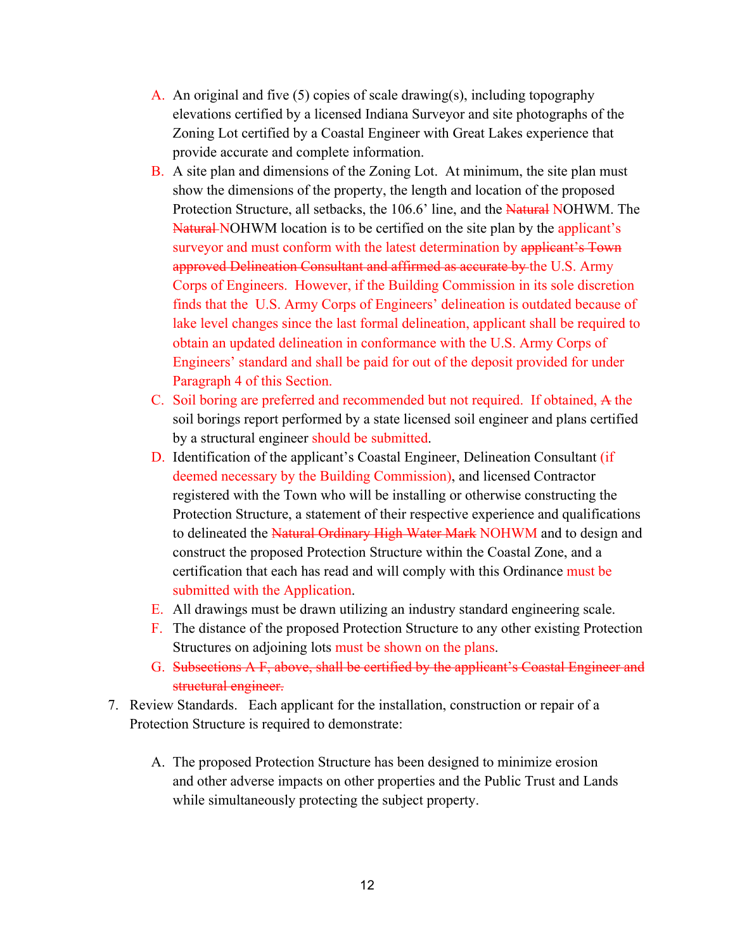- A. An original and five (5) copies of scale drawing(s), including topography elevations certified by a licensed Indiana Surveyor and site photographs of the Zoning Lot certified by a Coastal Engineer with Great Lakes experience that provide accurate and complete information.
- B. A site plan and dimensions of the Zoning Lot. At minimum, the site plan must show the dimensions of the property, the length and location of the proposed Protection Structure, all setbacks, the 106.6' line, and the Natural NOHWM. The Natural NOHWM location is to be certified on the site plan by the applicant's surveyor and must conform with the latest determination by applicant's Town approved Delineation Consultant and affirmed as accurate by the U.S. Army Corps of Engineers. However, if the Building Commission in its sole discretion finds that the U.S. Army Corps of Engineers' delineation is outdated because of lake level changes since the last formal delineation, applicant shall be required to obtain an updated delineation in conformance with the U.S. Army Corps of Engineers' standard and shall be paid for out of the deposit provided for under Paragraph 4 of this Section.
- C. Soil boring are preferred and recommended but not required. If obtained, A the soil borings report performed by a state licensed soil engineer and plans certified by a structural engineer should be submitted.
- D. Identification of the applicant's Coastal Engineer, Delineation Consultant (if deemed necessary by the Building Commission), and licensed Contractor registered with the Town who will be installing or otherwise constructing the Protection Structure, a statement of their respective experience and qualifications to delineated the Natural Ordinary High Water Mark NOHWM and to design and construct the proposed Protection Structure within the Coastal Zone, and a certification that each has read and will comply with this Ordinance must be submitted with the Application.
- E. All drawings must be drawn utilizing an industry standard engineering scale.
- F. The distance of the proposed Protection Structure to any other existing Protection Structures on adjoining lots must be shown on the plans.
- G. Subsections A F, above, shall be certified by the applicant's Coastal Engineer and structural engineer.
- 7. Review Standards. Each applicant for the installation, construction or repair of a Protection Structure is required to demonstrate:
	- A. The proposed Protection Structure has been designed to minimize erosion and other adverse impacts on other properties and the Public Trust and Lands while simultaneously protecting the subject property.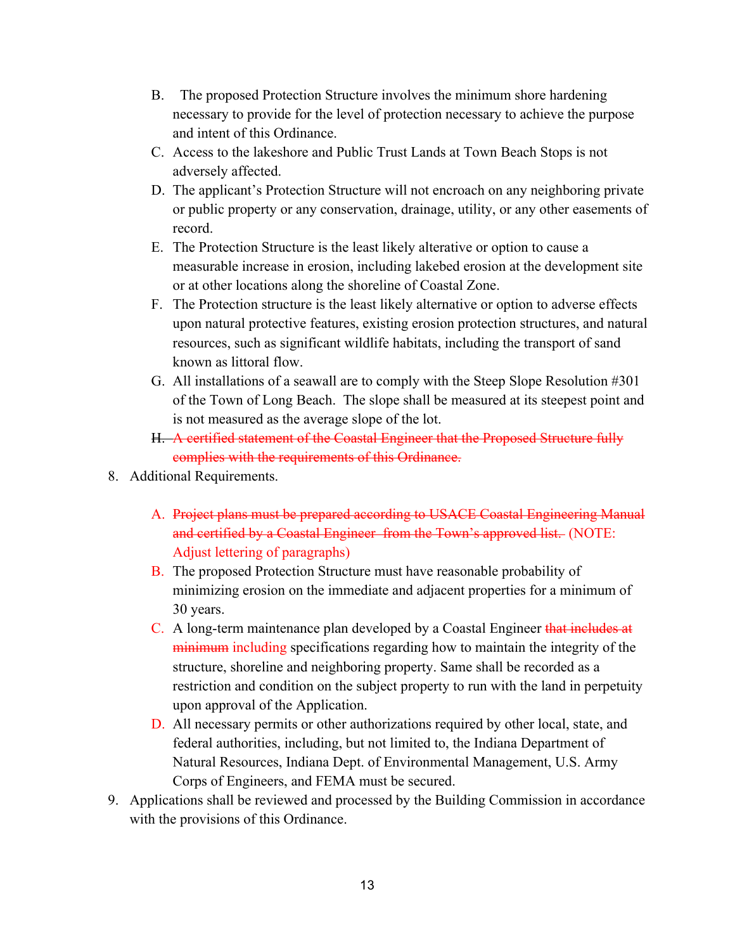- B. The proposed Protection Structure involves the minimum shore hardening necessary to provide for the level of protection necessary to achieve the purpose and intent of this Ordinance.
- C. Access to the lakeshore and Public Trust Lands at Town Beach Stops is not adversely affected.
- D. The applicant's Protection Structure will not encroach on any neighboring private or public property or any conservation, drainage, utility, or any other easements of record.
- E. The Protection Structure is the least likely alterative or option to cause a measurable increase in erosion, including lakebed erosion at the development site or at other locations along the shoreline of Coastal Zone.
- F. The Protection structure is the least likely alternative or option to adverse effects upon natural protective features, existing erosion protection structures, and natural resources, such as significant wildlife habitats, including the transport of sand known as littoral flow.
- G. All installations of a seawall are to comply with the Steep Slope Resolution #301 of the Town of Long Beach. The slope shall be measured at its steepest point and is not measured as the average slope of the lot.
- H. A certified statement of the Coastal Engineer that the Proposed Structure fully complies with the requirements of this Ordinance.
- 8. Additional Requirements.
	- A. Project plans must be prepared according to USACE Coastal Engineering Manual and certified by a Coastal Engineer from the Town's approved list. (NOTE: Adjust lettering of paragraphs)
	- B. The proposed Protection Structure must have reasonable probability of minimizing erosion on the immediate and adjacent properties for a minimum of 30 years.
	- C. A long-term maintenance plan developed by a Coastal Engineer that includes at minimum including specifications regarding how to maintain the integrity of the structure, shoreline and neighboring property. Same shall be recorded as a restriction and condition on the subject property to run with the land in perpetuity upon approval of the Application.
	- D. All necessary permits or other authorizations required by other local, state, and federal authorities, including, but not limited to, the Indiana Department of Natural Resources, Indiana Dept. of Environmental Management, U.S. Army Corps of Engineers, and FEMA must be secured.
- 9. Applications shall be reviewed and processed by the Building Commission in accordance with the provisions of this Ordinance.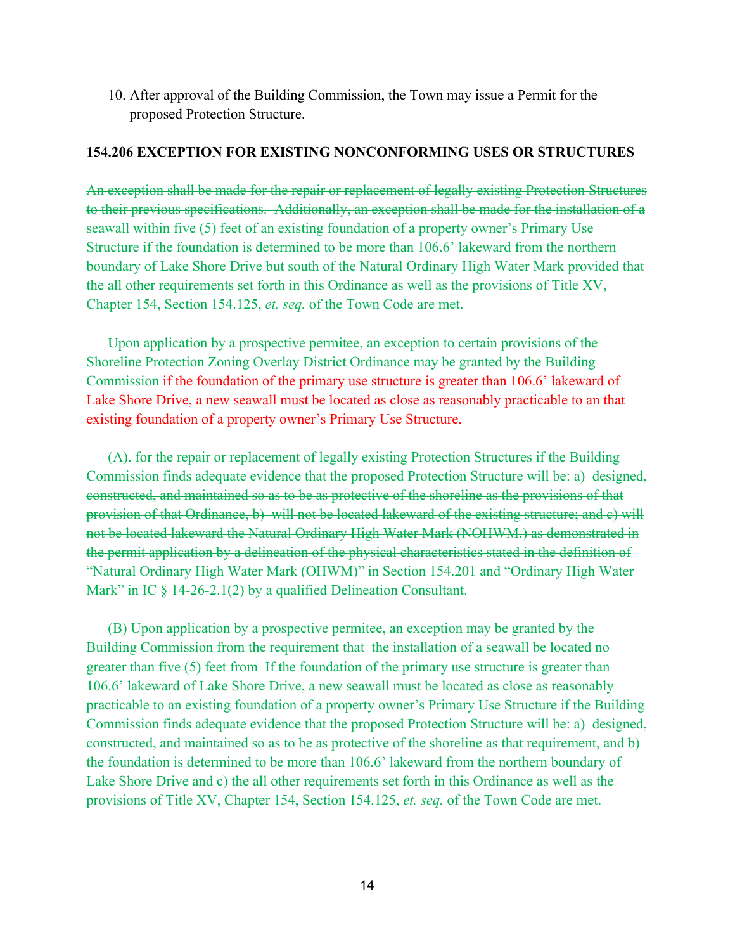10. After approval of the Building Commission, the Town may issue a Permit for the proposed Protection Structure.

### **154.206 EXCEPTION FOR EXISTING NONCONFORMING USES OR STRUCTURES**

An exception shall be made for the repair or replacement of legally existing Protection Structures to their previous specifications. Additionally, an exception shall be made for the installation of a seawall within five (5) feet of an existing foundation of a property owner's Primary Use Structure if the foundation is determined to be more than 106.6' lakeward from the northern boundary of Lake Shore Drive but south of the Natural Ordinary High Water Mark provided that the all other requirements set forth in this Ordinance as well as the provisions of Title XV, Chapter 154, Section 154.125, *et. seq.* of the Town Code are met.

Upon application by a prospective permitee, an exception to certain provisions of the Shoreline Protection Zoning Overlay District Ordinance may be granted by the Building Commission if the foundation of the primary use structure is greater than 106.6' lakeward of Lake Shore Drive, a new seawall must be located as close as reasonably practicable to an that existing foundation of a property owner's Primary Use Structure.

(A). for the repair or replacement of legally existing Protection Structures if the Building Commission finds adequate evidence that the proposed Protection Structure will be: a) designed, constructed, and maintained so as to be as protective of the shoreline as the provisions of that provision of that Ordinance, b) will not be located lakeward of the existing structure; and c) will not be located lakeward the Natural Ordinary High Water Mark (NOHWM.) as demonstrated in the permit application by a delineation of the physical characteristics stated in the definition of "Natural Ordinary High Water Mark (OHWM)" in Section 154.201 and "Ordinary High Water Mark" in IC § 14-26-2.1(2) by a qualified Delineation Consultant.

(B) Upon application by a prospective permitee, an exception may be granted by the Building Commission from the requirement that the installation of a seawall be located no greater than five (5) feet from If the foundation of the primary use structure is greater than 106.6' lakeward of Lake Shore Drive, a new seawall must be located as close as reasonably practicable to an existing foundation of a property owner's Primary Use Structure if the Building Commission finds adequate evidence that the proposed Protection Structure will be: a) designed, constructed, and maintained so as to be as protective of the shoreline as that requirement, and b) the foundation is determined to be more than 106.6' lakeward from the northern boundary of Lake Shore Drive and c) the all other requirements set forth in this Ordinance as well as the provisions of Title XV, Chapter 154, Section 154.125, *et. seq.* of the Town Code are met.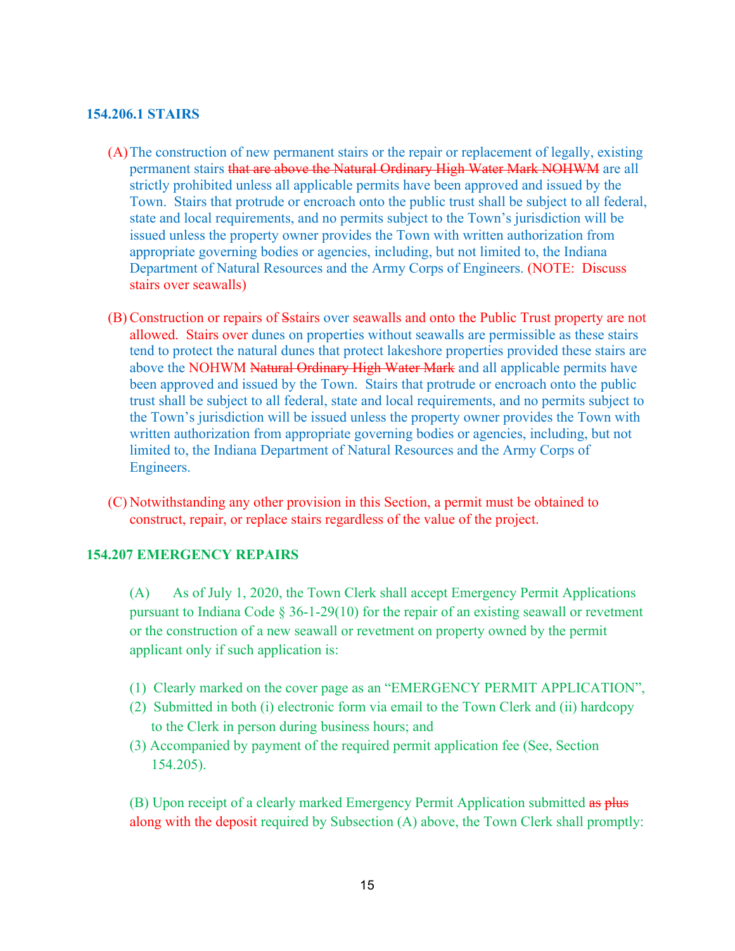#### **154.206.1 STAIRS**

- (A)The construction of new permanent stairs or the repair or replacement of legally, existing permanent stairs that are above the Natural Ordinary High Water Mark NOHWM are all strictly prohibited unless all applicable permits have been approved and issued by the Town. Stairs that protrude or encroach onto the public trust shall be subject to all federal, state and local requirements, and no permits subject to the Town's jurisdiction will be issued unless the property owner provides the Town with written authorization from appropriate governing bodies or agencies, including, but not limited to, the Indiana Department of Natural Resources and the Army Corps of Engineers. (NOTE: Discuss stairs over seawalls)
- (B) Construction or repairs of Sstairs over seawalls and onto the Public Trust property are not allowed. Stairs over dunes on properties without seawalls are permissible as these stairs tend to protect the natural dunes that protect lakeshore properties provided these stairs are above the NOHWM Natural Ordinary High Water Mark and all applicable permits have been approved and issued by the Town. Stairs that protrude or encroach onto the public trust shall be subject to all federal, state and local requirements, and no permits subject to the Town's jurisdiction will be issued unless the property owner provides the Town with written authorization from appropriate governing bodies or agencies, including, but not limited to, the Indiana Department of Natural Resources and the Army Corps of Engineers.
- (C) Notwithstanding any other provision in this Section, a permit must be obtained to construct, repair, or replace stairs regardless of the value of the project.

## **154.207 EMERGENCY REPAIRS**

(A) As of July 1, 2020, the Town Clerk shall accept Emergency Permit Applications pursuant to Indiana Code § 36-1-29(10) for the repair of an existing seawall or revetment or the construction of a new seawall or revetment on property owned by the permit applicant only if such application is:

- (1) Clearly marked on the cover page as an "EMERGENCY PERMIT APPLICATION",
- (2) Submitted in both (i) electronic form via email to the Town Clerk and (ii) hardcopy to the Clerk in person during business hours; and
- (3) Accompanied by payment of the required permit application fee (See, Section 154.205).

(B) Upon receipt of a clearly marked Emergency Permit Application submitted as plus along with the deposit required by Subsection (A) above, the Town Clerk shall promptly: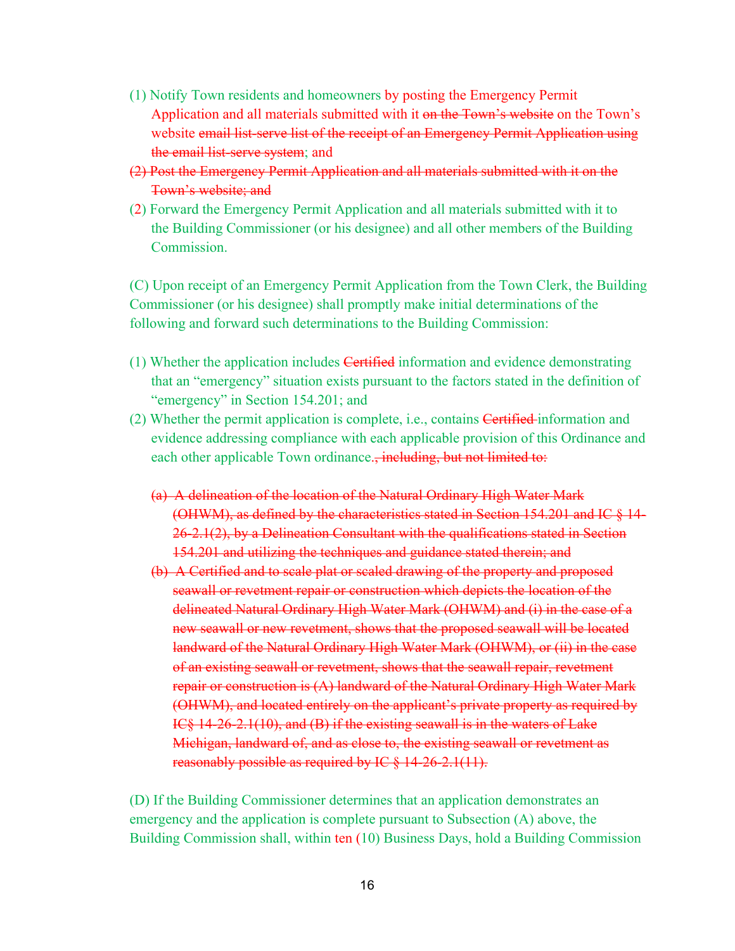- (1) Notify Town residents and homeowners by posting the Emergency Permit Application and all materials submitted with it on the Town's website on the Town's website email list-serve list of the receipt of an Emergency Permit Application using the email list-serve system; and
- (2) Post the Emergency Permit Application and all materials submitted with it on the Town's website; and
- (2) Forward the Emergency Permit Application and all materials submitted with it to the Building Commissioner (or his designee) and all other members of the Building **Commission**

(C) Upon receipt of an Emergency Permit Application from the Town Clerk, the Building Commissioner (or his designee) shall promptly make initial determinations of the following and forward such determinations to the Building Commission:

- (1) Whether the application includes Certified information and evidence demonstrating that an "emergency" situation exists pursuant to the factors stated in the definition of "emergency" in Section 154.201; and
- (2) Whether the permit application is complete, i.e., contains Certified information and evidence addressing compliance with each applicable provision of this Ordinance and each other applicable Town ordinance., including, but not limited to:
	- (a) A delineation of the location of the Natural Ordinary High Water Mark (OHWM), as defined by the characteristics stated in Section 154.201 and IC § 14- 26-2.1(2), by a Delineation Consultant with the qualifications stated in Section 154.201 and utilizing the techniques and guidance stated therein; and
	- (b) A Certified and to scale plat or scaled drawing of the property and proposed seawall or revetment repair or construction which depicts the location of the delineated Natural Ordinary High Water Mark (OHWM) and (i) in the case of a new seawall or new revetment, shows that the proposed seawall will be located landward of the Natural Ordinary High Water Mark (OHWM), or (ii) in the case of an existing seawall or revetment, shows that the seawall repair, revetment repair or construction is (A) landward of the Natural Ordinary High Water Mark (OHWM), and located entirely on the applicant's private property as required by IC§ 14-26-2.1(10), and (B) if the existing seawall is in the waters of Lake Michigan, landward of, and as close to, the existing seawall or revetment as reasonably possible as required by IC § 14-26-2.1(11).

(D) If the Building Commissioner determines that an application demonstrates an emergency and the application is complete pursuant to Subsection (A) above, the Building Commission shall, within ten (10) Business Days, hold a Building Commission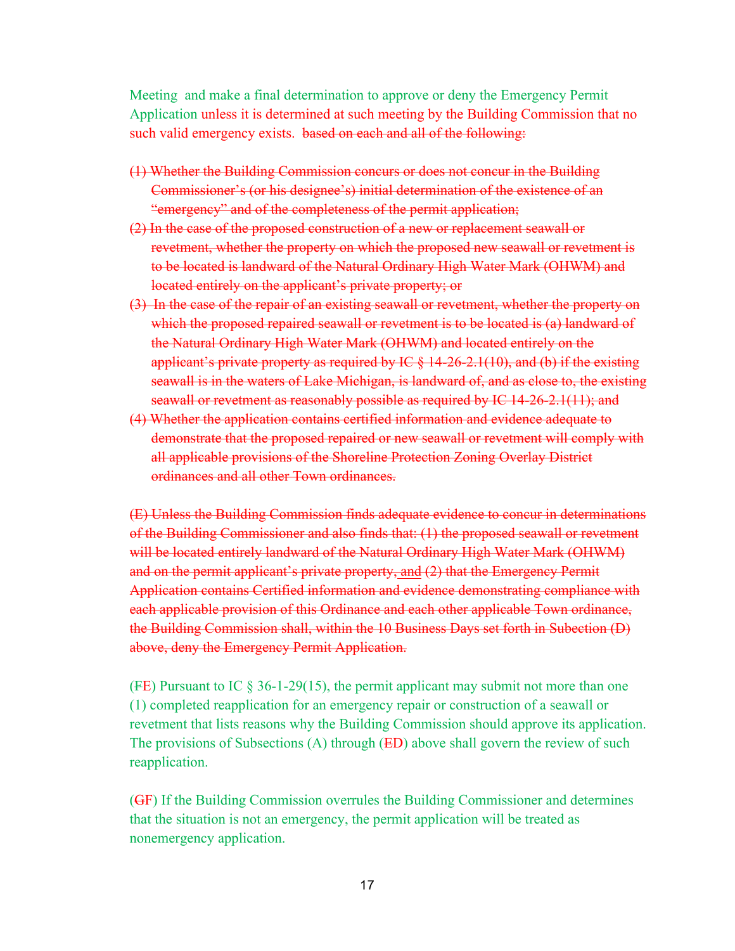Meeting and make a final determination to approve or deny the Emergency Permit Application unless it is determined at such meeting by the Building Commission that no such valid emergency exists. based on each and all of the following:

- (1) Whether the Building Commission concurs or does not concur in the Building Commissioner's (or his designee's) initial determination of the existence of an "emergency" and of the completeness of the permit application;
- (2) In the case of the proposed construction of a new or replacement seawall or revetment, whether the property on which the proposed new seawall or revetment is to be located is landward of the Natural Ordinary High Water Mark (OHWM) and located entirely on the applicant's private property; or
- (3) In the case of the repair of an existing seawall or revetment, whether the property on which the proposed repaired seawall or revetment is to be located is (a) landward of the Natural Ordinary High Water Mark (OHWM) and located entirely on the applicant's private property as required by IC  $\S$  14-26-2.1(10), and (b) if the existing seawall is in the waters of Lake Michigan, is landward of, and as close to, the existing seawall or revetment as reasonably possible as required by IC 14-26-2.1(11); and
- (4) Whether the application contains certified information and evidence adequate to demonstrate that the proposed repaired or new seawall or revetment will comply with all applicable provisions of the Shoreline Protection Zoning Overlay District ordinances and all other Town ordinances.

(E) Unless the Building Commission finds adequate evidence to concur in determinations of the Building Commissioner and also finds that: (1) the proposed seawall or revetment will be located entirely landward of the Natural Ordinary High Water Mark (OHWM) and on the permit applicant's private property, and (2) that the Emergency Permit Application contains Certified information and evidence demonstrating compliance with each applicable provision of this Ordinance and each other applicable Town ordinance, the Building Commission shall, within the 10 Business Days set forth in Subection (D) above, deny the Emergency Permit Application.

(FE) Pursuant to IC  $\S 36$ -1-29(15), the permit applicant may submit not more than one (1) completed reapplication for an emergency repair or construction of a seawall or revetment that lists reasons why the Building Commission should approve its application. The provisions of Subsections (A) through (ED) above shall govern the review of such reapplication.

(GF) If the Building Commission overrules the Building Commissioner and determines that the situation is not an emergency, the permit application will be treated as nonemergency application.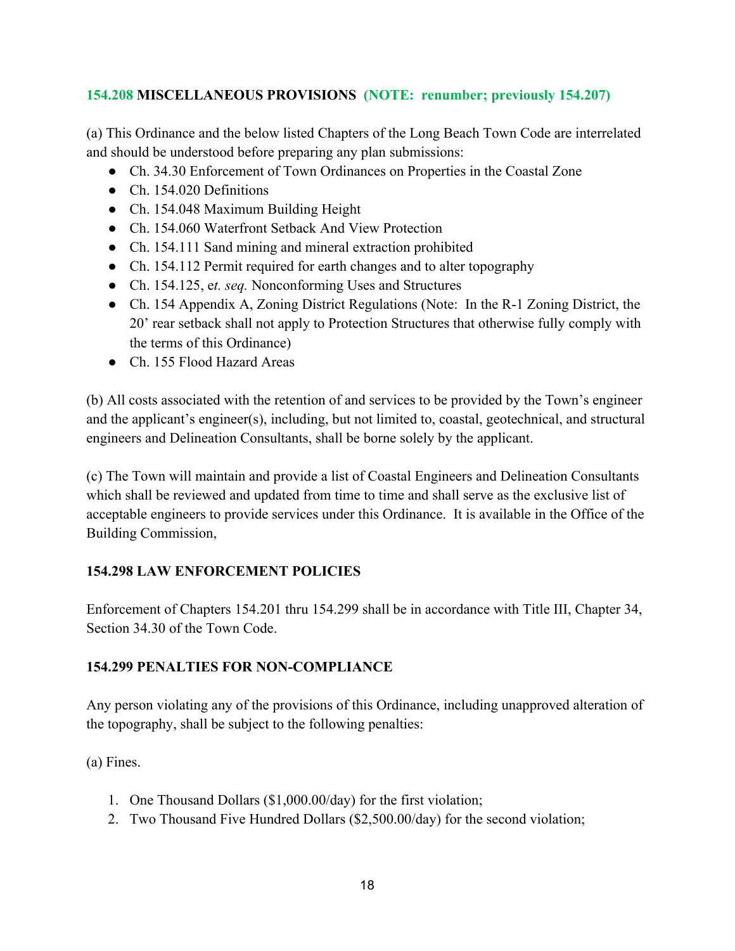# **154.208 MISCELLANEOUS PROVISIONS (NOTE: renumber; previously 154.207)**

(a) This Ordinance and the below listed Chapters of the Long Beach Town Code are interrelated and should be understood before preparing any plan submissions:

- Ch. 34.30 Enforcement of Town Ordinances on Properties in the Coastal Zone
- Ch. 154.020 Definitions
- Ch. 154.048 Maximum Building Height
- Ch. 154.060 Waterfront Setback And View Protection
- Ch. 154.111 Sand mining and mineral extraction prohibited
- Ch. 154.112 Permit required for earth changes and to alter topography
- Ch. 154.125, e*t. seq.* Nonconforming Uses and Structures
- Ch. 154 Appendix A, Zoning District Regulations (Note: In the R-1 Zoning District, the 20' rear setback shall not apply to Protection Structures that otherwise fully comply with the terms of this Ordinance)
- Ch. 155 Flood Hazard Areas

(b) All costs associated with the retention of and services to be provided by the Town's engineer and the applicant's engineer(s), including, but not limited to, coastal, geotechnical, and structural engineers and Delineation Consultants, shall be borne solely by the applicant.

(c) The Town will maintain and provide a list of Coastal Engineers and Delineation Consultants which shall be reviewed and updated from time to time and shall serve as the exclusive list of acceptable engineers to provide services under this Ordinance. It is available in the Office of the Building Commission,

# **154.298 LAW ENFORCEMENT POLICIES**

Enforcement of Chapters 154.201 thru 154.299 shall be in accordance with Title III, Chapter 34, Section 34.30 of the Town Code.

# **154.299 PENALTIES FOR NON-COMPLIANCE**

Any person violating any of the provisions of this Ordinance, including unapproved alteration of the topography, shall be subject to the following penalties:

(a) Fines.

- 1. One Thousand Dollars (\$1,000.00/day) for the first violation;
- 2. Two Thousand Five Hundred Dollars (\$2,500.00/day) for the second violation;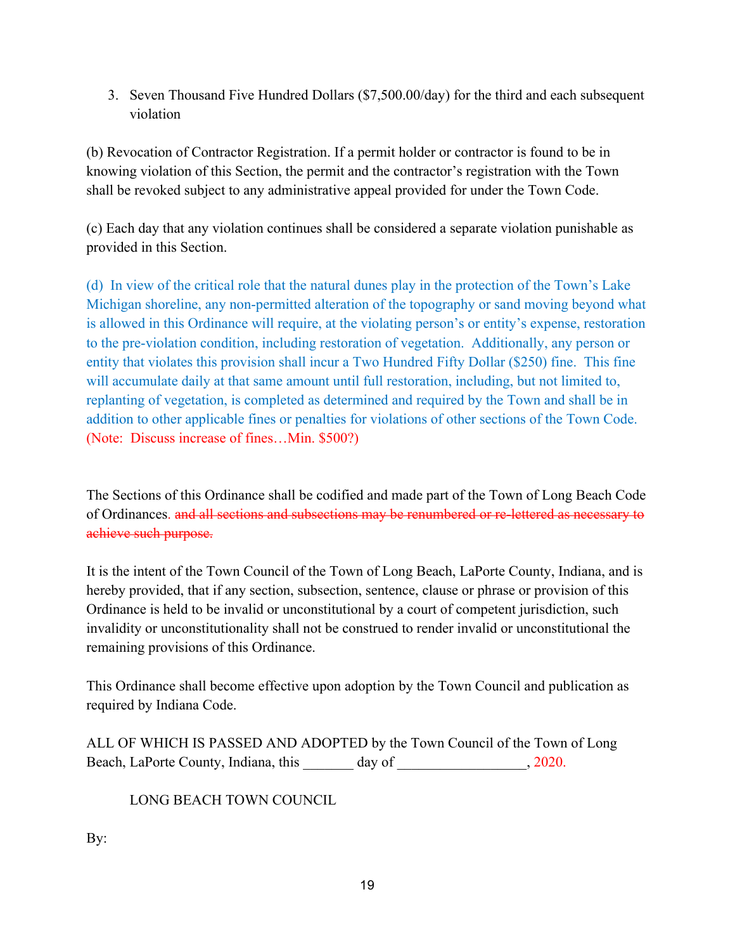3. Seven Thousand Five Hundred Dollars (\$7,500.00/day) for the third and each subsequent violation

(b) Revocation of Contractor Registration. If a permit holder or contractor is found to be in knowing violation of this Section, the permit and the contractor's registration with the Town shall be revoked subject to any administrative appeal provided for under the Town Code.

(c) Each day that any violation continues shall be considered a separate violation punishable as provided in this Section.

(d) In view of the critical role that the natural dunes play in the protection of the Town's Lake Michigan shoreline, any non-permitted alteration of the topography or sand moving beyond what is allowed in this Ordinance will require, at the violating person's or entity's expense, restoration to the pre-violation condition, including restoration of vegetation. Additionally, any person or entity that violates this provision shall incur a Two Hundred Fifty Dollar (\$250) fine. This fine will accumulate daily at that same amount until full restoration, including, but not limited to, replanting of vegetation, is completed as determined and required by the Town and shall be in addition to other applicable fines or penalties for violations of other sections of the Town Code. (Note: Discuss increase of fines…Min. \$500?)

The Sections of this Ordinance shall be codified and made part of the Town of Long Beach Code of Ordinances. and all sections and subsections may be renumbered or re-lettered as necessary to achieve such purpose.

It is the intent of the Town Council of the Town of Long Beach, LaPorte County, Indiana, and is hereby provided, that if any section, subsection, sentence, clause or phrase or provision of this Ordinance is held to be invalid or unconstitutional by a court of competent jurisdiction, such invalidity or unconstitutionality shall not be construed to render invalid or unconstitutional the remaining provisions of this Ordinance.

This Ordinance shall become effective upon adoption by the Town Council and publication as required by Indiana Code.

ALL OF WHICH IS PASSED AND ADOPTED by the Town Council of the Town of Long Beach, LaPorte County, Indiana, this day of  $\qquad \qquad$ , 2020.

LONG BEACH TOWN COUNCIL

By: